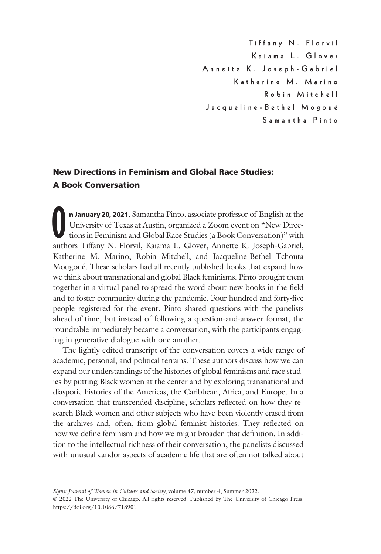Tiffany N. Florvil Annette K. Joseph - Gabriel Katherine M. Marino Robin Mitchell Robin Mitchell Jacqueline-Bethel Mogoué

# New Directions in Feminism and Global Race Studies: A Book Conversation

**n January 20, 2021**, Samantha Pinto, associate professor of English at the University of Texas at Austin, organized a Zoom event on "New Directions in Feminism and Global Race Studies (a Book Conversation)" with authors T n January 20, 2021, Samantha Pinto, associate professor of English at the University of Texas at Austin, organized a Zoom event on "New Directions in Feminism and Global Race Studies (a Book Conversation)" with Katherine M. Marino, Robin Mitchell, and Jacqueline-Bethel Tchouta Mougoué. These scholars had all recently published books that expand how we think about transnational and global Black feminisms. Pinto brought them together in a virtual panel to spread the word about new books in the field and to foster community during the pandemic. Four hundred and forty-five people registered for the event. Pinto shared questions with the panelists ahead of time, but instead of following a question-and-answer format, the roundtable immediately became a conversation, with the participants engaging in generative dialogue with one another.

The lightly edited transcript of the conversation covers a wide range of academic, personal, and political terrains. These authors discuss how we can expand our understandings of the histories of global feminisms and race studies by putting Black women at the center and by exploring transnational and diasporic histories of the Americas, the Caribbean, Africa, and Europe. In a conversation that transcended discipline, scholars reflected on how they research Black women and other subjects who have been violently erased from the archives and, often, from global feminist histories. They reflected on how we define feminism and how we might broaden that definition. In addition to the intellectual richness of their conversation, the panelists discussed with unusual candor aspects of academic life that are often not talked about

Signs: Journal of Women in Culture and Society, volume 47, number 4, Summer 2022. © 2022 The University of Chicago. All rights reserved. Published by The University of Chicago Press. <https://doi.org/10.1086/718901>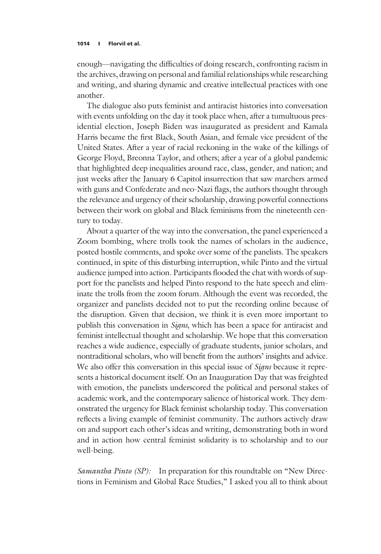enough—navigating the difficulties of doing research, confronting racism in the archives, drawing on personal and familial relationships while researching and writing, and sharing dynamic and creative intellectual practices with one another.

The dialogue also puts feminist and antiracist histories into conversation with events unfolding on the day it took place when, after a tumultuous presidential election, Joseph Biden was inaugurated as president and Kamala Harris became the first Black, South Asian, and female vice president of the United States. After a year of racial reckoning in the wake of the killings of George Floyd, Breonna Taylor, and others; after a year of a global pandemic that highlighted deep inequalities around race, class, gender, and nation; and just weeks after the January 6 Capitol insurrection that saw marchers armed with guns and Confederate and neo-Nazi flags, the authors thought through the relevance and urgency of their scholarship, drawing powerful connections between their work on global and Black feminisms from the nineteenth century to today.

About a quarter of the way into the conversation, the panel experienced a Zoom bombing, where trolls took the names of scholars in the audience, posted hostile comments, and spoke over some of the panelists. The speakers continued, in spite of this disturbing interruption, while Pinto and the virtual audience jumped into action. Participants flooded the chat with words of support for the panelists and helped Pinto respond to the hate speech and eliminate the trolls from the zoom forum. Although the event was recorded, the organizer and panelists decided not to put the recording online because of the disruption. Given that decision, we think it is even more important to publish this conversation in *Signs*, which has been a space for antiracist and feminist intellectual thought and scholarship. We hope that this conversation reaches a wide audience, especially of graduate students, junior scholars, and nontraditional scholars, who will benefit from the authors' insights and advice. We also offer this conversation in this special issue of *Signs* because it represents a historical document itself. On an Inauguration Day that was freighted with emotion, the panelists underscored the political and personal stakes of academic work, and the contemporary salience of historical work. They demonstrated the urgency for Black feminist scholarship today. This conversation reflects a living example of feminist community. The authors actively draw on and support each other's ideas and writing, demonstrating both in word and in action how central feminist solidarity is to scholarship and to our well-being.

Samantha Pinto (SP): In preparation for this roundtable on "New Directions in Feminism and Global Race Studies," I asked you all to think about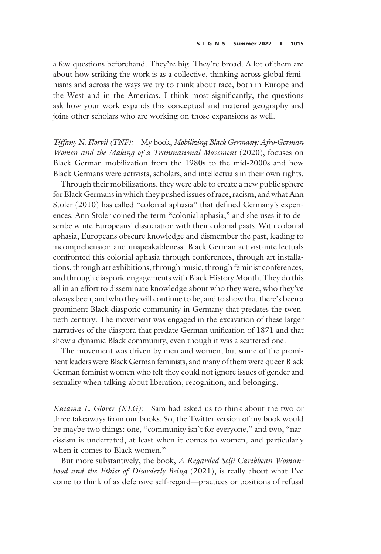a few questions beforehand. They're big. They're broad. A lot of them are about how striking the work is as a collective, thinking across global feminisms and across the ways we try to think about race, both in Europe and the West and in the Americas. I think most significantly, the questions ask how your work expands this conceptual and material geography and joins other scholars who are working on those expansions as well.

Tiffany N. Florvil (TNF): My book, Mobilizing Black Germany: Afro-German Women and the Making of a Transnational Movement (2020), focuses on Black German mobilization from the 1980s to the mid-2000s and how Black Germans were activists, scholars, and intellectuals in their own rights.

Through their mobilizations, they were able to create a new public sphere for Black Germans in which they pushed issues of race, racism, and what Ann Stoler (2010) has called "colonial aphasia" that defined Germany's experiences. Ann Stoler coined the term "colonial aphasia," and she uses it to describe white Europeans' dissociation with their colonial pasts. With colonial aphasia, Europeans obscure knowledge and dismember the past, leading to incomprehension and unspeakableness. Black German activist-intellectuals confronted this colonial aphasia through conferences, through art installations, through art exhibitions, through music, through feminist conferences, and through diasporic engagements with Black History Month. They do this all in an effort to disseminate knowledge about who they were, who they've always been, and who they will continue to be, and to show that there's been a prominent Black diasporic community in Germany that predates the twentieth century. The movement was engaged in the excavation of these larger narratives of the diaspora that predate German unification of 1871 and that show a dynamic Black community, even though it was a scattered one.

The movement was driven by men and women, but some of the prominent leaders were Black German feminists, and many of them were queer Black German feminist women who felt they could not ignore issues of gender and sexuality when talking about liberation, recognition, and belonging.

Kaiama L. Glover (KLG): Sam had asked us to think about the two or three takeaways from our books. So, the Twitter version of my book would be maybe two things: one, "community isn't for everyone," and two, "narcissism is underrated, at least when it comes to women, and particularly when it comes to Black women."

But more substantively, the book, A Regarded Self: Caribbean Womanhood and the Ethics of Disorderly Being (2021), is really about what I've come to think of as defensive self-regard—practices or positions of refusal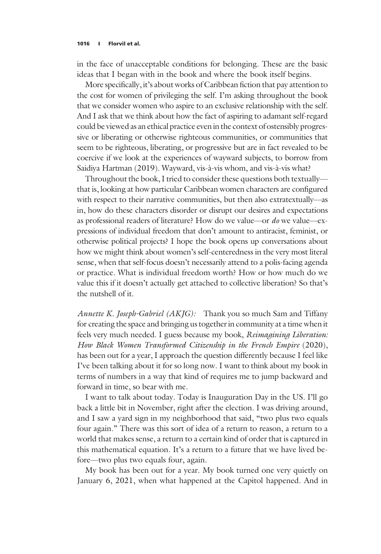in the face of unacceptable conditions for belonging. These are the basic ideas that I began with in the book and where the book itself begins.

More specifically, it's about works of Caribbean fiction that pay attention to the cost for women of privileging the self. I'm asking throughout the book that we consider women who aspire to an exclusive relationship with the self. And I ask that we think about how the fact of aspiring to adamant self-regard could be viewed as an ethical practice even in the context of ostensibly progressive or liberating or otherwise righteous communities, or communities that seem to be righteous, liberating, or progressive but are in fact revealed to be coercive if we look at the experiences of wayward subjects, to borrow from Saidiya Hartman (2019). Wayward, vis-à-vis whom, and vis-à-vis what?

Throughout the book, I tried to consider these questions both textually that is, looking at how particular Caribbean women characters are configured with respect to their narrative communities, but then also extratextually—as in, how do these characters disorder or disrupt our desires and expectations as professional readers of literature? How do we value—or do we value—expressions of individual freedom that don't amount to antiracist, feminist, or otherwise political projects? I hope the book opens up conversations about how we might think about women's self-centeredness in the very most literal sense, when that self-focus doesn't necessarily attend to a polis-facing agenda or practice. What is individual freedom worth? How or how much do we value this if it doesn't actually get attached to collective liberation? So that's the nutshell of it.

Annette K. Joseph-Gabriel (AKJG): Thank you so much Sam and Tiffany for creating the space and bringing us together in community at a time when it feels very much needed. I guess because my book, Reimagining Liberation: How Black Women Transformed Citizenship in the French Empire (2020), has been out for a year, I approach the question differently because I feel like I've been talking about it for so long now. I want to think about my book in terms of numbers in a way that kind of requires me to jump backward and forward in time, so bear with me.

I want to talk about today. Today is Inauguration Day in the US. I'll go back a little bit in November, right after the election. I was driving around, and I saw a yard sign in my neighborhood that said, "two plus two equals four again." There was this sort of idea of a return to reason, a return to a world that makes sense, a return to a certain kind of order that is captured in this mathematical equation. It's a return to a future that we have lived before—two plus two equals four, again.

My book has been out for a year. My book turned one very quietly on January 6, 2021, when what happened at the Capitol happened. And in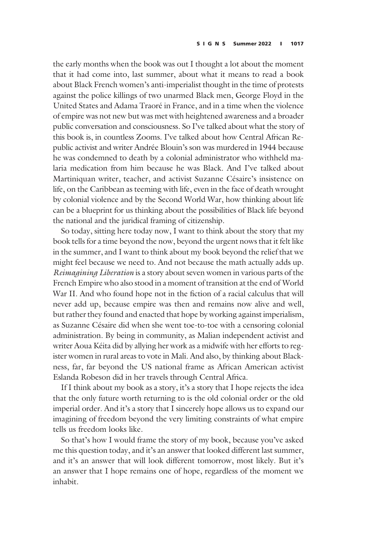the early months when the book was out I thought a lot about the moment that it had come into, last summer, about what it means to read a book about Black French women's anti-imperialist thought in the time of protests against the police killings of two unarmed Black men, George Floyd in the United States and Adama Traoré in France, and in a time when the violence of empire was not new but was met with heightened awareness and a broader public conversation and consciousness. So I've talked about what the story of this book is, in countless Zooms. I've talked about how Central African Republic activist and writer Andrée Blouin's son was murdered in 1944 because he was condemned to death by a colonial administrator who withheld malaria medication from him because he was Black. And I've talked about Martiniquan writer, teacher, and activist Suzanne Césaire's insistence on life, on the Caribbean as teeming with life, even in the face of death wrought by colonial violence and by the Second World War, how thinking about life can be a blueprint for us thinking about the possibilities of Black life beyond the national and the juridical framing of citizenship.

So today, sitting here today now, I want to think about the story that my book tells for a time beyond the now, beyond the urgent nows that it felt like in the summer, and I want to think about my book beyond the relief that we might feel because we need to. And not because the math actually adds up. Reimagining Liberation is a story about seven women in various parts of the French Empire who also stood in a moment of transition at the end of World War II. And who found hope not in the fiction of a racial calculus that will never add up, because empire was then and remains now alive and well, but rather they found and enacted that hope by working against imperialism, as Suzanne Césaire did when she went toe-to-toe with a censoring colonial administration. By being in community, as Malian independent activist and writer Aoua Kéita did by allying her work as a midwife with her efforts to register women in rural areas to vote in Mali. And also, by thinking about Blackness, far, far beyond the US national frame as African American activist Eslanda Robeson did in her travels through Central Africa.

If I think about my book as a story, it's a story that I hope rejects the idea that the only future worth returning to is the old colonial order or the old imperial order. And it's a story that I sincerely hope allows us to expand our imagining of freedom beyond the very limiting constraints of what empire tells us freedom looks like.

So that's how I would frame the story of my book, because you've asked me this question today, and it's an answer that looked different last summer, and it's an answer that will look different tomorrow, most likely. But it's an answer that I hope remains one of hope, regardless of the moment we inhabit.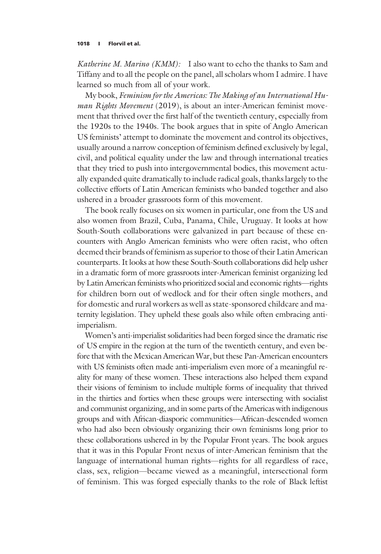Katherine M. Marino (KMM): I also want to echo the thanks to Sam and Tiffany and to all the people on the panel, all scholars whom I admire. I have learned so much from all of your work.

My book, Feminism for the Americas: The Making of an International Human Rights Movement (2019), is about an inter-American feminist movement that thrived over the first half of the twentieth century, especially from the 1920s to the 1940s. The book argues that in spite of Anglo American US feminists' attempt to dominate the movement and control its objectives, usually around a narrow conception of feminism defined exclusively by legal, civil, and political equality under the law and through international treaties that they tried to push into intergovernmental bodies, this movement actually expanded quite dramatically to include radical goals, thanks largely to the collective efforts of Latin American feminists who banded together and also ushered in a broader grassroots form of this movement.

The book really focuses on six women in particular, one from the US and also women from Brazil, Cuba, Panama, Chile, Uruguay. It looks at how South-South collaborations were galvanized in part because of these encounters with Anglo American feminists who were often racist, who often deemed their brands of feminism as superior to those of their Latin American counterparts. It looks at how these South-South collaborations did help usher in a dramatic form of more grassroots inter-American feminist organizing led by Latin American feminists who prioritized social and economic rights―rights for children born out of wedlock and for their often single mothers, and for domestic and rural workers as well as state-sponsored childcare and maternity legislation. They upheld these goals also while often embracing antiimperialism.

Women's anti-imperialist solidarities had been forged since the dramatic rise of US empire in the region at the turn of the twentieth century, and even before that with the Mexican American War, but these Pan-American encounters with US feminists often made anti-imperialism even more of a meaningful reality for many of these women. These interactions also helped them expand their visions of feminism to include multiple forms of inequality that thrived in the thirties and forties when these groups were intersecting with socialist and communist organizing, and in some parts of the Americas with indigenous groups and with African-diasporic communities―African-descended women who had also been obviously organizing their own feminisms long prior to these collaborations ushered in by the Popular Front years. The book argues that it was in this Popular Front nexus of inter-American feminism that the language of international human rights—rights for all regardless of race, class, sex, religion—became viewed as a meaningful, intersectional form of feminism. This was forged especially thanks to the role of Black leftist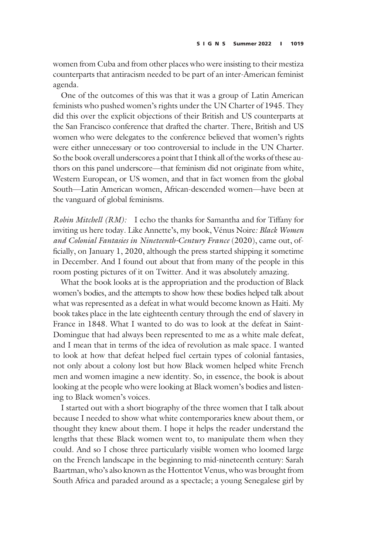women from Cuba and from other places who were insisting to their mestiza counterparts that antiracism needed to be part of an inter-American feminist agenda.

One of the outcomes of this was that it was a group of Latin American feminists who pushed women's rights under the UN Charter of 1945. They did this over the explicit objections of their British and US counterparts at the San Francisco conference that drafted the charter. There, British and US women who were delegates to the conference believed that women's rights were either unnecessary or too controversial to include in the UN Charter. So the book overall underscores a point that I think all of the works of these authors on this panel underscore—that feminism did not originate from white, Western European, or US women, and that in fact women from the global South―Latin American women, African-descended women―have been at the vanguard of global feminisms.

Robin Mitchell (RM): I echo the thanks for Samantha and for Tiffany for inviting us here today. Like Annette's, my book, Vénus Noire: Black Women and Colonial Fantasies in Nineteenth-Century France (2020), came out, officially, on January 1, 2020, although the press started shipping it sometime in December. And I found out about that from many of the people in this room posting pictures of it on Twitter. And it was absolutely amazing.

What the book looks at is the appropriation and the production of Black women's bodies, and the attempts to show how these bodies helped talk about what was represented as a defeat in what would become known as Haiti. My book takes place in the late eighteenth century through the end of slavery in France in 1848. What I wanted to do was to look at the defeat in Saint-Domingue that had always been represented to me as a white male defeat, and I mean that in terms of the idea of revolution as male space. I wanted to look at how that defeat helped fuel certain types of colonial fantasies, not only about a colony lost but how Black women helped white French men and women imagine a new identity. So, in essence, the book is about looking at the people who were looking at Black women's bodies and listening to Black women's voices.

I started out with a short biography of the three women that I talk about because I needed to show what white contemporaries knew about them, or thought they knew about them. I hope it helps the reader understand the lengths that these Black women went to, to manipulate them when they could. And so I chose three particularly visible women who loomed large on the French landscape in the beginning to mid-nineteenth century: Sarah Baartman, who's also known as the Hottentot Venus, who was brought from South Africa and paraded around as a spectacle; a young Senegalese girl by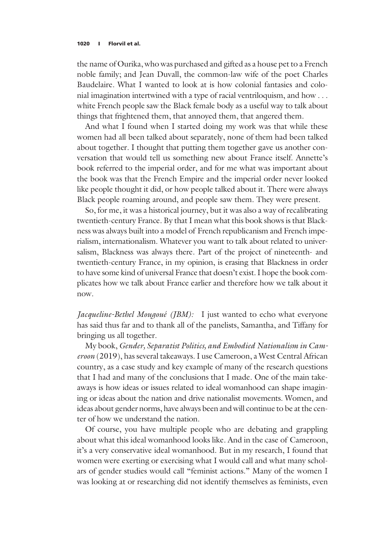the name of Ourika, who was purchased and gifted as a house pet to a French noble family; and Jean Duvall, the common-law wife of the poet Charles Baudelaire. What I wanted to look at is how colonial fantasies and colonial imagination intertwined with a type of racial ventriloquism, and how ... white French people saw the Black female body as a useful way to talk about things that frightened them, that annoyed them, that angered them.

And what I found when I started doing my work was that while these women had all been talked about separately, none of them had been talked about together. I thought that putting them together gave us another conversation that would tell us something new about France itself. Annette's book referred to the imperial order, and for me what was important about the book was that the French Empire and the imperial order never looked like people thought it did, or how people talked about it. There were always Black people roaming around, and people saw them. They were present.

So, for me, it was a historical journey, but it was also a way of recalibrating twentieth-century France. By that I mean what this book shows is that Blackness was always built into a model of French republicanism and French imperialism, internationalism. Whatever you want to talk about related to universalism, Blackness was always there. Part of the project of nineteenth- and twentieth-century France, in my opinion, is erasing that Blackness in order to have some kind of universal France that doesn't exist. I hope the book complicates how we talk about France earlier and therefore how we talk about it now.

Jacqueline-Bethel Mougoué (JBM): I just wanted to echo what everyone has said thus far and to thank all of the panelists, Samantha, and Tiffany for bringing us all together.

My book, Gender, Separatist Politics, and Embodied Nationalism in Cameroon (2019), has several takeaways. I use Cameroon, a West Central African country, as a case study and key example of many of the research questions that I had and many of the conclusions that I made. One of the main takeaways is how ideas or issues related to ideal womanhood can shape imagining or ideas about the nation and drive nationalist movements. Women, and ideas about gender norms, have always been and will continue to be at the center of how we understand the nation.

Of course, you have multiple people who are debating and grappling about what this ideal womanhood looks like. And in the case of Cameroon, it's a very conservative ideal womanhood. But in my research, I found that women were exerting or exercising what I would call and what many scholars of gender studies would call "feminist actions." Many of the women I was looking at or researching did not identify themselves as feminists, even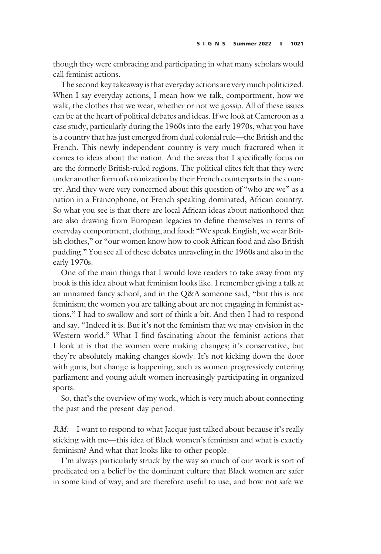though they were embracing and participating in what many scholars would call feminist actions.

The second key takeaway is that everyday actions are very much politicized. When I say everyday actions, I mean how we talk, comportment, how we walk, the clothes that we wear, whether or not we gossip. All of these issues can be at the heart of political debates and ideas. If we look at Cameroon as a case study, particularly during the 1960s into the early 1970s, what you have is a country that has just emerged from dual colonial rule—the British and the French. This newly independent country is very much fractured when it comes to ideas about the nation. And the areas that I specifically focus on are the formerly British-ruled regions. The political elites felt that they were under another form of colonization by their French counterparts in the country. And they were very concerned about this question of "who are we" as a nation in a Francophone, or French-speaking-dominated, African country. So what you see is that there are local African ideas about nationhood that are also drawing from European legacies to define themselves in terms of everyday comportment, clothing, and food: "We speak English, we wear British clothes," or "our women know how to cook African food and also British pudding." You see all of these debates unraveling in the 1960s and also in the early 1970s.

One of the main things that I would love readers to take away from my book is this idea about what feminism looks like. I remember giving a talk at an unnamed fancy school, and in the Q&A someone said, "but this is not feminism; the women you are talking about are not engaging in feminist actions." I had to swallow and sort of think a bit. And then I had to respond and say, "Indeed it is. But it's not the feminism that we may envision in the Western world." What I find fascinating about the feminist actions that I look at is that the women were making changes; it's conservative, but they're absolutely making changes slowly. It's not kicking down the door with guns, but change is happening, such as women progressively entering parliament and young adult women increasingly participating in organized sports.

So, that's the overview of my work, which is very much about connecting the past and the present-day period.

RM: I want to respond to what Jacque just talked about because it's really sticking with me—this idea of Black women's feminism and what is exactly feminism? And what that looks like to other people.

I'm always particularly struck by the way so much of our work is sort of predicated on a belief by the dominant culture that Black women are safer in some kind of way, and are therefore useful to use, and how not safe we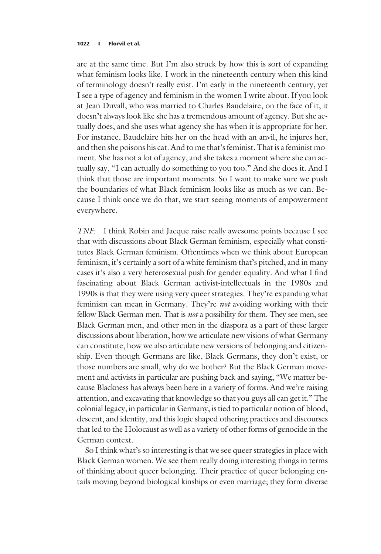are at the same time. But I'm also struck by how this is sort of expanding what feminism looks like. I work in the nineteenth century when this kind of terminology doesn't really exist. I'm early in the nineteenth century, yet I see a type of agency and feminism in the women I write about. If you look at Jean Duvall, who was married to Charles Baudelaire, on the face of it, it doesn't always look like she has a tremendous amount of agency. But she actually does, and she uses what agency she has when it is appropriate for her. For instance, Baudelaire hits her on the head with an anvil, he injures her, and then she poisons his cat. And to me that's feminist. That is a feminist moment. She has not a lot of agency, and she takes a moment where she can actually say, "I can actually do something to you too." And she does it. And I think that those are important moments. So I want to make sure we push the boundaries of what Black feminism looks like as much as we can. Because I think once we do that, we start seeing moments of empowerment everywhere.

TNF: I think Robin and Jacque raise really awesome points because I see that with discussions about Black German feminism, especially what constitutes Black German feminism. Oftentimes when we think about European feminism, it's certainly a sort of a white feminism that's pitched, and in many cases it's also a very heterosexual push for gender equality. And what I find fascinating about Black German activist-intellectuals in the 1980s and 1990s is that they were using very queer strategies. They're expanding what feminism can mean in Germany. They're not avoiding working with their fellow Black German men. That is not a possibility for them. They see men, see Black German men, and other men in the diaspora as a part of these larger discussions about liberation, how we articulate new visions of what Germany can constitute, how we also articulate new versions of belonging and citizenship. Even though Germans are like, Black Germans, they don't exist, or those numbers are small, why do we bother? But the Black German movement and activists in particular are pushing back and saying, "We matter because Blackness has always been here in a variety of forms. And we're raising attention, and excavating that knowledge so that you guys all can get it." The colonial legacy, in particular in Germany, is tied to particular notion of blood, descent, and identity, and this logic shaped othering practices and discourses that led to the Holocaust as well as a variety of other forms of genocide in the German context.

So I think what's so interesting is that we see queer strategies in place with Black German women. We see them really doing interesting things in terms of thinking about queer belonging. Their practice of queer belonging entails moving beyond biological kinships or even marriage; they form diverse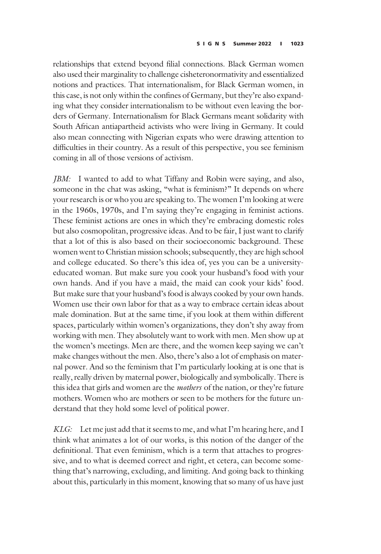relationships that extend beyond filial connections. Black German women also used their marginality to challenge cisheteronormativity and essentialized notions and practices. That internationalism, for Black German women, in this case, is not only within the confines of Germany, but they're also expanding what they consider internationalism to be without even leaving the borders of Germany. Internationalism for Black Germans meant solidarity with South African antiapartheid activists who were living in Germany. It could also mean connecting with Nigerian expats who were drawing attention to difficulties in their country. As a result of this perspective, you see feminism coming in all of those versions of activism.

JBM: I wanted to add to what Tiffany and Robin were saying, and also, someone in the chat was asking, "what is feminism?" It depends on where your research is or who you are speaking to. The women I'm looking at were in the 1960s, 1970s, and I'm saying they're engaging in feminist actions. These feminist actions are ones in which they're embracing domestic roles but also cosmopolitan, progressive ideas. And to be fair, I just want to clarify that a lot of this is also based on their socioeconomic background. These women went to Christian mission schools; subsequently, they are high school and college educated. So there's this idea of, yes you can be a universityeducated woman. But make sure you cook your husband's food with your own hands. And if you have a maid, the maid can cook your kids' food. But make sure that your husband's food is always cooked by your own hands. Women use their own labor for that as a way to embrace certain ideas about male domination. But at the same time, if you look at them within different spaces, particularly within women's organizations, they don't shy away from working with men. They absolutely want to work with men. Men show up at the women's meetings. Men are there, and the women keep saying we can't make changes without the men. Also, there's also a lot of emphasis on maternal power. And so the feminism that I'm particularly looking at is one that is really, really driven by maternal power, biologically and symbolically. There is this idea that girls and women are the *mothers* of the nation, or they're future mothers. Women who are mothers or seen to be mothers for the future understand that they hold some level of political power.

KLG: Let me just add that it seems to me, and what I'm hearing here, and I think what animates a lot of our works, is this notion of the danger of the definitional. That even feminism, which is a term that attaches to progressive, and to what is deemed correct and right, et cetera, can become something that's narrowing, excluding, and limiting. And going back to thinking about this, particularly in this moment, knowing that so many of us have just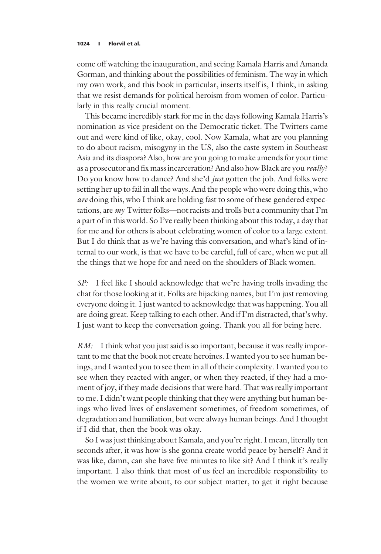come off watching the inauguration, and seeing Kamala Harris and Amanda Gorman, and thinking about the possibilities of feminism. The way in which my own work, and this book in particular, inserts itself is, I think, in asking that we resist demands for political heroism from women of color. Particularly in this really crucial moment.

This became incredibly stark for me in the days following Kamala Harris's nomination as vice president on the Democratic ticket. The Twitters came out and were kind of like, okay, cool. Now Kamala, what are you planning to do about racism, misogyny in the US, also the caste system in Southeast Asia and its diaspora? Also, how are you going to make amends for your time as a prosecutor and fix mass incarceration? And also how Black are you really? Do you know how to dance? And she'd *just* gotten the job. And folks were setting her up to fail in all the ways. And the people who were doing this, who are doing this, who I think are holding fast to some of these gendered expectations, are my Twitter folks––not racists and trolls but a community that I'm a part of in this world. So I've really been thinking about this today, a day that for me and for others is about celebrating women of color to a large extent. But I do think that as we're having this conversation, and what's kind of internal to our work, is that we have to be careful, full of care, when we put all the things that we hope for and need on the shoulders of Black women.

SP: I feel like I should acknowledge that we're having trolls invading the chat for those looking at it. Folks are hijacking names, but I'm just removing everyone doing it. I just wanted to acknowledge that was happening. You all are doing great. Keep talking to each other. And if I'm distracted, that's why. I just want to keep the conversation going. Thank you all for being here.

RM: I think what you just said is so important, because it was really important to me that the book not create heroines. I wanted you to see human beings, and I wanted you to see them in all of their complexity. I wanted you to see when they reacted with anger, or when they reacted, if they had a moment of joy, if they made decisions that were hard. That was really important to me. I didn't want people thinking that they were anything but human beings who lived lives of enslavement sometimes, of freedom sometimes, of degradation and humiliation, but were always human beings. And I thought if I did that, then the book was okay.

So I was just thinking about Kamala, and you're right. I mean, literally ten seconds after, it was how is she gonna create world peace by herself? And it was like, damn, can she have five minutes to like sit? And I think it's really important. I also think that most of us feel an incredible responsibility to the women we write about, to our subject matter, to get it right because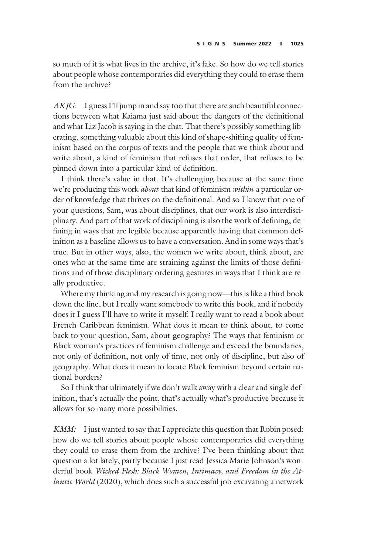so much of it is what lives in the archive, it's fake. So how do we tell stories about people whose contemporaries did everything they could to erase them from the archive?

AKJG: I guess I'll jump in and say too that there are such beautiful connections between what Kaiama just said about the dangers of the definitional and what Liz Jacob is saying in the chat. That there's possibly something liberating, something valuable about this kind of shape-shifting quality of feminism based on the corpus of texts and the people that we think about and write about, a kind of feminism that refuses that order, that refuses to be pinned down into a particular kind of definition.

I think there's value in that. It's challenging because at the same time we're producing this work *about* that kind of feminism *within* a particular order of knowledge that thrives on the definitional. And so I know that one of your questions, Sam, was about disciplines, that our work is also interdisciplinary. And part of that work of disciplining is also the work of defining, defining in ways that are legible because apparently having that common definition as a baseline allows us to have a conversation. And in some ways that's true. But in other ways, also, the women we write about, think about, are ones who at the same time are straining against the limits of those definitions and of those disciplinary ordering gestures in ways that I think are really productive.

Where my thinking and my research is going now—this is like a third book down the line, but I really want somebody to write this book, and if nobody does it I guess I'll have to write it myself: I really want to read a book about French Caribbean feminism. What does it mean to think about, to come back to your question, Sam, about geography? The ways that feminism or Black woman's practices of feminism challenge and exceed the boundaries, not only of definition, not only of time, not only of discipline, but also of geography. What does it mean to locate Black feminism beyond certain national borders?

So I think that ultimately if we don't walk away with a clear and single definition, that's actually the point, that's actually what's productive because it allows for so many more possibilities.

KMM: I just wanted to say that I appreciate this question that Robin posed: how do we tell stories about people whose contemporaries did everything they could to erase them from the archive? I've been thinking about that question a lot lately, partly because I just read Jessica Marie Johnson's wonderful book Wicked Flesh: Black Women, Intimacy, and Freedom in the Atlantic World (2020), which does such a successful job excavating a network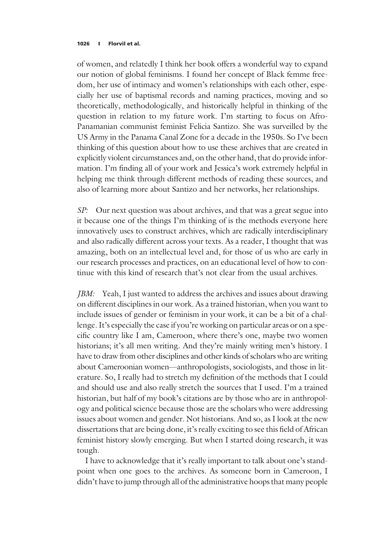of women, and relatedly I think her book offers a wonderful way to expand our notion of global feminisms. I found her concept of Black femme freedom, her use of intimacy and women's relationships with each other, especially her use of baptismal records and naming practices, moving and so theoretically, methodologically, and historically helpful in thinking of the question in relation to my future work. I'm starting to focus on Afro-Panamanian communist feminist Felicia Santizo. She was surveilled by the US Army in the Panama Canal Zone for a decade in the 1950s. So I've been thinking of this question about how to use these archives that are created in explicitly violent circumstances and, on the other hand, that do provide information. I'm finding all of your work and Jessica's work extremely helpful in helping me think through different methods of reading these sources, and also of learning more about Santizo and her networks, her relationships.

SP: Our next question was about archives, and that was a great segue into it because one of the things I'm thinking of is the methods everyone here innovatively uses to construct archives, which are radically interdisciplinary and also radically different across your texts. As a reader, I thought that was amazing, both on an intellectual level and, for those of us who are early in our research processes and practices, on an educational level of how to continue with this kind of research that's not clear from the usual archives.

JBM: Yeah, I just wanted to address the archives and issues about drawing on different disciplines in our work. As a trained historian, when you want to include issues of gender or feminism in your work, it can be a bit of a challenge. It's especially the case if you're working on particular areas or on a specific country like I am, Cameroon, where there's one, maybe two women historians; it's all men writing. And they're mainly writing men's history. I have to draw from other disciplines and other kinds of scholars who are writing about Cameroonian women—anthropologists, sociologists, and those in literature. So, I really had to stretch my definition of the methods that I could and should use and also really stretch the sources that I used. I'm a trained historian, but half of my book's citations are by those who are in anthropology and political science because those are the scholars who were addressing issues about women and gender. Not historians. And so, as I look at the new dissertations that are being done, it's really exciting to see this field of African feminist history slowly emerging. But when I started doing research, it was tough.

I have to acknowledge that it's really important to talk about one's standpoint when one goes to the archives. As someone born in Cameroon, I didn't have to jump through all of the administrative hoops that many people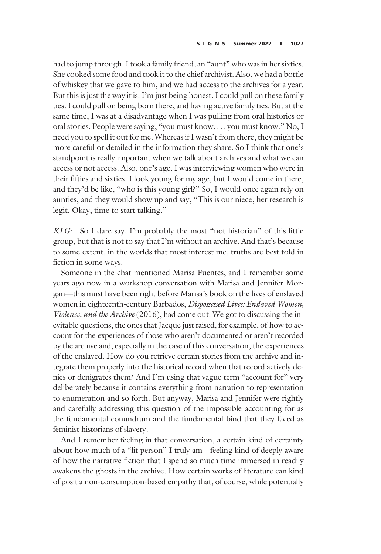had to jump through. I took a family friend, an "aunt" who was in her sixties. She cooked some food and took it to the chief archivist. Also, we had a bottle of whiskey that we gave to him, and we had access to the archives for a year. But this is just the way it is. I'm just being honest. I could pull on these family ties. I could pull on being born there, and having active family ties. But at the same time, I was at a disadvantage when I was pulling from oral histories or oral stories. People were saying, "you must know, ... you must know." No, I need you to spell it out for me. Whereas if I wasn't from there, they might be more careful or detailed in the information they share. So I think that one's standpoint is really important when we talk about archives and what we can access or not access. Also, one's age. I was interviewing women who were in their fifties and sixties. I look young for my age, but I would come in there, and they'd be like, "who is this young girl?" So, I would once again rely on aunties, and they would show up and say, "This is our niece, her research is legit. Okay, time to start talking."

KLG: So I dare say, I'm probably the most "not historian" of this little group, but that is not to say that I'm without an archive. And that's because to some extent, in the worlds that most interest me, truths are best told in fiction in some ways.

Someone in the chat mentioned Marisa Fuentes, and I remember some years ago now in a workshop conversation with Marisa and Jennifer Morgan—this must have been right before Marisa's book on the lives of enslaved women in eighteenth-century Barbados, Dispossessed Lives: Enslaved Women, Violence, and the Archive (2016), had come out. We got to discussing the inevitable questions, the ones that Jacque just raised, for example, of how to account for the experiences of those who aren't documented or aren't recorded by the archive and, especially in the case of this conversation, the experiences of the enslaved. How do you retrieve certain stories from the archive and integrate them properly into the historical record when that record actively denies or denigrates them? And I'm using that vague term "account for" very deliberately because it contains everything from narration to representation to enumeration and so forth. But anyway, Marisa and Jennifer were rightly and carefully addressing this question of the impossible accounting for as the fundamental conundrum and the fundamental bind that they faced as feminist historians of slavery.

And I remember feeling in that conversation, a certain kind of certainty about how much of a "lit person" I truly am—feeling kind of deeply aware of how the narrative fiction that I spend so much time immersed in readily awakens the ghosts in the archive. How certain works of literature can kind of posit a non-consumption-based empathy that, of course, while potentially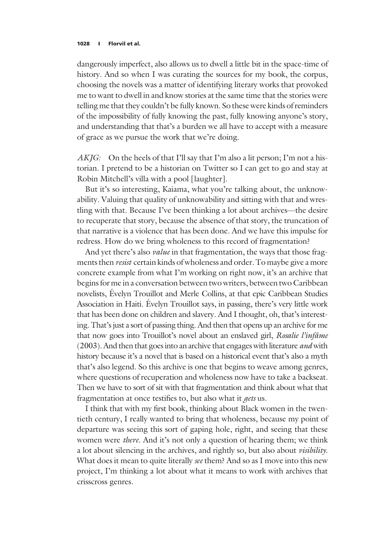dangerously imperfect, also allows us to dwell a little bit in the space-time of history. And so when I was curating the sources for my book, the corpus, choosing the novels was a matter of identifying literary works that provoked me to want to dwell in and know stories at the same time that the stories were telling me that they couldn't be fully known. So these were kinds of reminders of the impossibility of fully knowing the past, fully knowing anyone's story, and understanding that that's a burden we all have to accept with a measure of grace as we pursue the work that we're doing.

AKJG: On the heels of that I'll say that I'm also a lit person; I'm not a historian. I pretend to be a historian on Twitter so I can get to go and stay at Robin Mitchell's villa with a pool [laughter].

But it's so interesting, Kaiama, what you're talking about, the unknowability. Valuing that quality of unknowability and sitting with that and wrestling with that. Because I've been thinking a lot about archives—the desire to recuperate that story, because the absence of that story, the truncation of that narrative is a violence that has been done. And we have this impulse for redress. How do we bring wholeness to this record of fragmentation?

And yet there's also *value* in that fragmentation, the ways that those fragments then *resist* certain kinds of wholeness and order. To maybe give a more concrete example from what I'm working on right now, it's an archive that begins for me in a conversation between two writers, between two Caribbean novelists, Évelyn Trouillot and Merle Collins, at that epic Caribbean Studies Association in Haiti. Évelyn Trouillot says, in passing, there's very little work that has been done on children and slavery. And I thought, oh, that's interesting. That's just a sort of passing thing. And then that opens up an archive for me that now goes into Trouillot's novel about an enslaved girl, Rosalie l'infâme (2003). And then that goes into an archive that engages with literature *and* with history because it's a novel that is based on a historical event that's also a myth that's also legend. So this archive is one that begins to weave among genres, where questions of recuperation and wholeness now have to take a backseat. Then we have to sort of sit with that fragmentation and think about what that fragmentation at once testifies to, but also what it gets us.

I think that with my first book, thinking about Black women in the twentieth century, I really wanted to bring that wholeness, because my point of departure was seeing this sort of gaping hole, right, and seeing that these women were *there*. And it's not only a question of hearing them; we think a lot about silencing in the archives, and rightly so, but also about visibility. What does it mean to quite literally see them? And so as I move into this new project, I'm thinking a lot about what it means to work with archives that crisscross genres.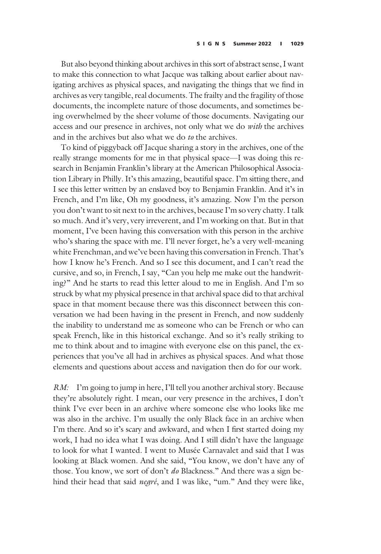But also beyond thinking about archives in this sort of abstract sense, I want to make this connection to what Jacque was talking about earlier about navigating archives as physical spaces, and navigating the things that we find in archives as very tangible, real documents. The frailty and the fragility of those documents, the incomplete nature of those documents, and sometimes being overwhelmed by the sheer volume of those documents. Navigating our access and our presence in archives, not only what we do with the archives and in the archives but also what we do to the archives.

To kind of piggyback off Jacque sharing a story in the archives, one of the really strange moments for me in that physical space—I was doing this research in Benjamin Franklin's library at the American Philosophical Association Library in Philly. It's this amazing, beautiful space. I'm sitting there, and I see this letter written by an enslaved boy to Benjamin Franklin. And it's in French, and I'm like, Oh my goodness, it's amazing. Now I'm the person you don't want to sit next to in the archives, because I'm so very chatty. I talk so much. And it's very, very irreverent, and I'm working on that. But in that moment, I've been having this conversation with this person in the archive who's sharing the space with me. I'll never forget, he's a very well-meaning white Frenchman, and we've been having this conversation in French. That's how I know he's French. And so I see this document, and I can't read the cursive, and so, in French, I say, "Can you help me make out the handwriting?" And he starts to read this letter aloud to me in English. And I'm so struck by what my physical presence in that archival space did to that archival space in that moment because there was this disconnect between this conversation we had been having in the present in French, and now suddenly the inability to understand me as someone who can be French or who can speak French, like in this historical exchange. And so it's really striking to me to think about and to imagine with everyone else on this panel, the experiences that you've all had in archives as physical spaces. And what those elements and questions about access and navigation then do for our work.

RM: I'm going to jump in here, I'll tell you another archival story. Because they're absolutely right. I mean, our very presence in the archives, I don't think I've ever been in an archive where someone else who looks like me was also in the archive. I'm usually the only Black face in an archive when I'm there. And so it's scary and awkward, and when I first started doing my work, I had no idea what I was doing. And I still didn't have the language to look for what I wanted. I went to Musée Carnavalet and said that I was looking at Black women. And she said, "You know, we don't have any of those. You know, we sort of don't do Blackness." And there was a sign behind their head that said negré, and I was like, "um." And they were like,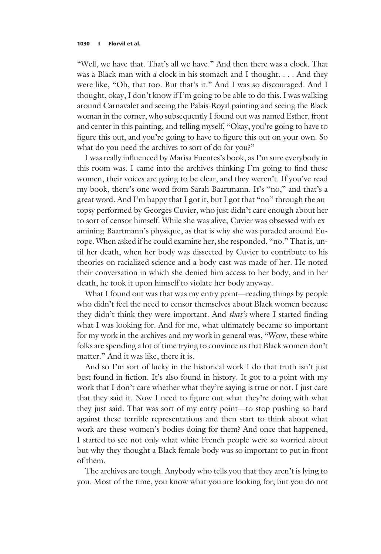"Well, we have that. That's all we have." And then there was a clock. That was a Black man with a clock in his stomach and I thought. ... And they were like, "Oh, that too. But that's it." And I was so discouraged. And I thought, okay, I don't know if I'm going to be able to do this. I was walking around Carnavalet and seeing the Palais-Royal painting and seeing the Black woman in the corner, who subsequently I found out was named Esther, front and center in this painting, and telling myself, "Okay, you're going to have to figure this out, and you're going to have to figure this out on your own. So what do you need the archives to sort of do for you?"

I was really influenced by Marisa Fuentes's book, as I'm sure everybody in this room was. I came into the archives thinking I'm going to find these women, their voices are going to be clear, and they weren't. If you've read my book, there's one word from Sarah Baartmann. It's "no," and that's a great word. And I'm happy that I got it, but I got that "no" through the autopsy performed by Georges Cuvier, who just didn't care enough about her to sort of censor himself. While she was alive, Cuvier was obsessed with examining Baartmann's physique, as that is why she was paraded around Europe. When asked if he could examine her, she responded, "no." That is, until her death, when her body was dissected by Cuvier to contribute to his theories on racialized science and a body cast was made of her. He noted their conversation in which she denied him access to her body, and in her death, he took it upon himself to violate her body anyway.

What I found out was that was my entry point—reading things by people who didn't feel the need to censor themselves about Black women because they didn't think they were important. And that's where I started finding what I was looking for. And for me, what ultimately became so important for my work in the archives and my work in general was, "Wow, these white folks are spending a lot of time trying to convince us that Black women don't matter." And it was like, there it is.

And so I'm sort of lucky in the historical work I do that truth isn't just best found in fiction. It's also found in history. It got to a point with my work that I don't care whether what they're saying is true or not. I just care that they said it. Now I need to figure out what they're doing with what they just said. That was sort of my entry point—to stop pushing so hard against these terrible representations and then start to think about what work are these women's bodies doing for them? And once that happened, I started to see not only what white French people were so worried about but why they thought a Black female body was so important to put in front of them.

The archives are tough. Anybody who tells you that they aren't is lying to you. Most of the time, you know what you are looking for, but you do not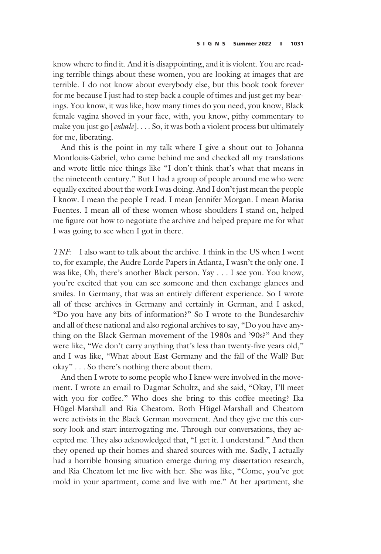know where to find it. And it is disappointing, and it is violent. You are reading terrible things about these women, you are looking at images that are terrible. I do not know about everybody else, but this book took forever for me because I just had to step back a couple of times and just get my bearings. You know, it was like, how many times do you need, you know, Black female vagina shoved in your face, with, you know, pithy commentary to make you just go  $[exbale]$ .... So, it was both a violent process but ultimately for me, liberating.

And this is the point in my talk where I give a shout out to Johanna Montlouis-Gabriel, who came behind me and checked all my translations and wrote little nice things like "I don't think that's what that means in the nineteenth century." But I had a group of people around me who were equally excited about the work I was doing. And I don't just mean the people I know. I mean the people I read. I mean Jennifer Morgan. I mean Marisa Fuentes. I mean all of these women whose shoulders I stand on, helped me figure out how to negotiate the archive and helped prepare me for what I was going to see when I got in there.

TNF: I also want to talk about the archive. I think in the US when I went to, for example, the Audre Lorde Papers in Atlanta, I wasn't the only one. I was like, Oh, there's another Black person. Yay ... I see you. You know, you're excited that you can see someone and then exchange glances and smiles. In Germany, that was an entirely different experience. So I wrote all of these archives in Germany and certainly in German, and I asked, "Do you have any bits of information?" So I wrote to the Bundesarchiv and all of these national and also regional archives to say, "Do you have anything on the Black German movement of the 1980s and '90s?" And they were like, "We don't carry anything that's less than twenty-five years old," and I was like, "What about East Germany and the fall of the Wall? But okay" ... So there's nothing there about them.

And then I wrote to some people who I knew were involved in the movement. I wrote an email to Dagmar Schultz, and she said, "Okay, I'll meet with you for coffee." Who does she bring to this coffee meeting? Ika Hügel-Marshall and Ria Cheatom. Both Hügel-Marshall and Cheatom were activists in the Black German movement. And they give me this cursory look and start interrogating me. Through our conversations, they accepted me. They also acknowledged that, "I get it. I understand." And then they opened up their homes and shared sources with me. Sadly, I actually had a horrible housing situation emerge during my dissertation research, and Ria Cheatom let me live with her. She was like, "Come, you've got mold in your apartment, come and live with me." At her apartment, she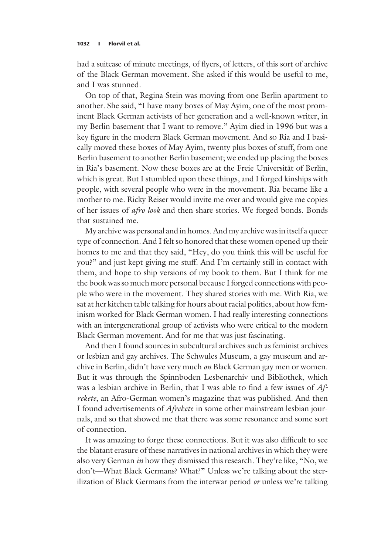had a suitcase of minute meetings, of flyers, of letters, of this sort of archive of the Black German movement. She asked if this would be useful to me, and I was stunned.

On top of that, Regina Stein was moving from one Berlin apartment to another. She said, "I have many boxes of May Ayim, one of the most prominent Black German activists of her generation and a well-known writer, in my Berlin basement that I want to remove." Ayim died in 1996 but was a key figure in the modern Black German movement. And so Ria and I basically moved these boxes of May Ayim, twenty plus boxes of stuff, from one Berlin basement to another Berlin basement; we ended up placing the boxes in Ria's basement. Now these boxes are at the Freie Universität of Berlin, which is great. But I stumbled upon these things, and I forged kinships with people, with several people who were in the movement. Ria became like a mother to me. Ricky Reiser would invite me over and would give me copies of her issues of afro look and then share stories. We forged bonds. Bonds that sustained me.

My archive was personal and in homes. And my archive was in itself a queer type of connection. And I felt so honored that these women opened up their homes to me and that they said, "Hey, do you think this will be useful for you?" and just kept giving me stuff. And I'm certainly still in contact with them, and hope to ship versions of my book to them. But I think for me the book was so much more personal because I forged connections with people who were in the movement. They shared stories with me. With Ria, we sat at her kitchen table talking for hours about racial politics, about how feminism worked for Black German women. I had really interesting connections with an intergenerational group of activists who were critical to the modern Black German movement. And for me that was just fascinating.

And then I found sources in subcultural archives such as feminist archives or lesbian and gay archives. The Schwules Museum, a gay museum and archive in Berlin, didn't have very much on Black German gay men or women. But it was through the Spinnboden Lesbenarchiv und Bibliothek, which was a lesbian archive in Berlin, that I was able to find a few issues of Afrekete, an Afro-German women's magazine that was published. And then I found advertisements of Afrekete in some other mainstream lesbian journals, and so that showed me that there was some resonance and some sort of connection.

It was amazing to forge these connections. But it was also difficult to see the blatant erasure of these narratives in national archives in which they were also very German in how they dismissed this research. They're like, "No, we don't—What Black Germans? What?" Unless we're talking about the sterilization of Black Germans from the interwar period  $or$  unless we're talking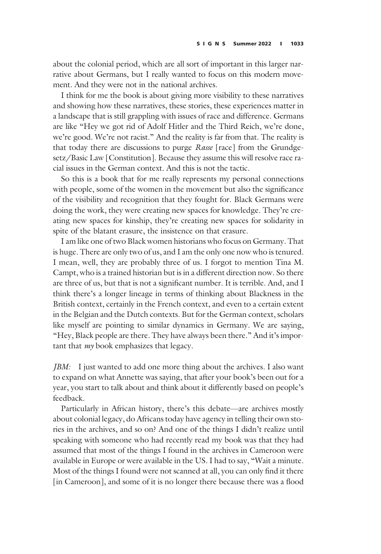about the colonial period, which are all sort of important in this larger narrative about Germans, but I really wanted to focus on this modern movement. And they were not in the national archives.

I think for me the book is about giving more visibility to these narratives and showing how these narratives, these stories, these experiences matter in a landscape that is still grappling with issues of race and difference. Germans are like "Hey we got rid of Adolf Hitler and the Third Reich, we're done, we're good. We're not racist." And the reality is far from that. The reality is that today there are discussions to purge Rasse [race] from the Grundgesetz/Basic Law [Constitution]. Because they assume this will resolve race racial issues in the German context. And this is not the tactic.

So this is a book that for me really represents my personal connections with people, some of the women in the movement but also the significance of the visibility and recognition that they fought for. Black Germans were doing the work, they were creating new spaces for knowledge. They're creating new spaces for kinship, they're creating new spaces for solidarity in spite of the blatant erasure, the insistence on that erasure.

I am like one of two Black women historians who focus on Germany. That is huge. There are only two of us, and I am the only one now who is tenured. I mean, well, they are probably three of us. I forgot to mention Tina M. Campt, who is a trained historian but is in a different direction now. So there are three of us, but that is not a significant number. It is terrible. And, and I think there's a longer lineage in terms of thinking about Blackness in the British context, certainly in the French context, and even to a certain extent in the Belgian and the Dutch contexts. But for the German context, scholars like myself are pointing to similar dynamics in Germany. We are saying, "Hey, Black people are there. They have always been there." And it's important that *my* book emphasizes that legacy.

JBM: I just wanted to add one more thing about the archives. I also want to expand on what Annette was saying, that after your book's been out for a year, you start to talk about and think about it differently based on people's feedback.

Particularly in African history, there's this debate—are archives mostly about colonial legacy, do Africans today have agency in telling their own stories in the archives, and so on? And one of the things I didn't realize until speaking with someone who had recently read my book was that they had assumed that most of the things I found in the archives in Cameroon were available in Europe or were available in the US. I had to say, "Wait a minute. Most of the things I found were not scanned at all, you can only find it there [in Cameroon], and some of it is no longer there because there was a flood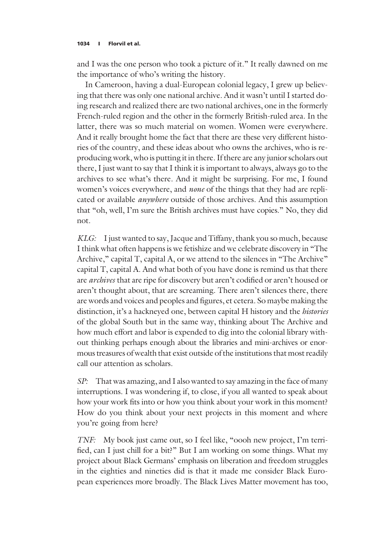and I was the one person who took a picture of it." It really dawned on me the importance of who's writing the history.

In Cameroon, having a dual-European colonial legacy, I grew up believing that there was only one national archive. And it wasn't until I started doing research and realized there are two national archives, one in the formerly French-ruled region and the other in the formerly British-ruled area. In the latter, there was so much material on women. Women were everywhere. And it really brought home the fact that there are these very different histories of the country, and these ideas about who owns the archives, who is reproducing work, who is putting it in there. If there are any junior scholars out there, I just want to say that I think it is important to always, always go to the archives to see what's there. And it might be surprising. For me, I found women's voices everywhere, and none of the things that they had are replicated or available anywhere outside of those archives. And this assumption that "oh, well, I'm sure the British archives must have copies." No, they did not.

KLG: I just wanted to say, Jacque and Tiffany, thank you so much, because I think what often happens is we fetishize and we celebrate discovery in "The Archive," capital T, capital A, or we attend to the silences in "The Archive" capital T, capital A. And what both of you have done is remind us that there are archives that are ripe for discovery but aren't codified or aren't housed or aren't thought about, that are screaming. There aren't silences there, there are words and voices and peoples and figures, et cetera. So maybe making the distinction, it's a hackneyed one, between capital H history and the *histories* of the global South but in the same way, thinking about The Archive and how much effort and labor is expended to dig into the colonial library without thinking perhaps enough about the libraries and mini-archives or enormous treasures of wealth that exist outside of the institutions that most readily call our attention as scholars.

SP: That was amazing, and I also wanted to say amazing in the face of many interruptions. I was wondering if, to close, if you all wanted to speak about how your work fits into or how you think about your work in this moment? How do you think about your next projects in this moment and where you're going from here?

TNF: My book just came out, so I feel like, "oooh new project, I'm terrified, can I just chill for a bit?" But I am working on some things. What my project about Black Germans' emphasis on liberation and freedom struggles in the eighties and nineties did is that it made me consider Black European experiences more broadly. The Black Lives Matter movement has too,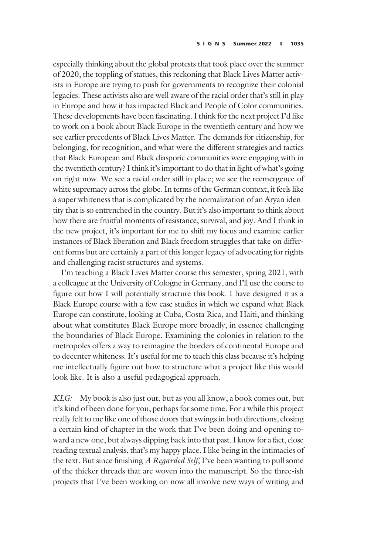especially thinking about the global protests that took place over the summer of 2020, the toppling of statues, this reckoning that Black Lives Matter activists in Europe are trying to push for governments to recognize their colonial legacies. These activists also are well aware of the racial order that's still in play in Europe and how it has impacted Black and People of Color communities. These developments have been fascinating. I think for the next project I'd like to work on a book about Black Europe in the twentieth century and how we see earlier precedents of Black Lives Matter. The demands for citizenship, for belonging, for recognition, and what were the different strategies and tactics that Black European and Black diasporic communities were engaging with in the twentieth century? I think it's important to do that in light of what's going on right now. We see a racial order still in place; we see the reemergence of white supremacy across the globe. In terms of the German context, it feels like a super whiteness that is complicated by the normalization of an Aryan identity that is so entrenched in the country. But it's also important to think about how there are fruitful moments of resistance, survival, and joy. And I think in the new project, it's important for me to shift my focus and examine earlier instances of Black liberation and Black freedom struggles that take on different forms but are certainly a part of this longer legacy of advocating for rights and challenging racist structures and systems.

I'm teaching a Black Lives Matter course this semester, spring 2021, with a colleague at the University of Cologne in Germany, and I'll use the course to figure out how I will potentially structure this book. I have designed it as a Black Europe course with a few case studies in which we expand what Black Europe can constitute, looking at Cuba, Costa Rica, and Haiti, and thinking about what constitutes Black Europe more broadly, in essence challenging the boundaries of Black Europe. Examining the colonies in relation to the metropoles offers a way to reimagine the borders of continental Europe and to decenter whiteness. It's useful for me to teach this class because it's helping me intellectually figure out how to structure what a project like this would look like. It is also a useful pedagogical approach.

KLG: My book is also just out, but as you all know, a book comes out, but it's kind of been done for you, perhaps for some time. For a while this project really felt to me like one of those doors that swings in both directions, closing a certain kind of chapter in the work that I've been doing and opening toward a new one, but always dipping back into that past. I know for a fact, close reading textual analysis, that's my happy place. I like being in the intimacies of the text. But since finishing A Regarded Self, I've been wanting to pull some of the thicker threads that are woven into the manuscript. So the three-ish projects that I've been working on now all involve new ways of writing and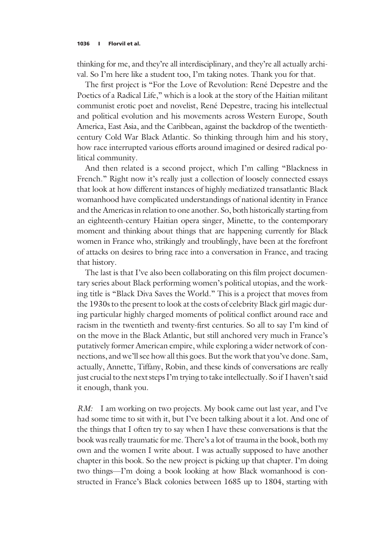thinking for me, and they're all interdisciplinary, and they're all actually archival. So I'm here like a student too, I'm taking notes. Thank you for that.

The first project is "For the Love of Revolution: René Depestre and the Poetics of a Radical Life," which is a look at the story of the Haitian militant communist erotic poet and novelist, René Depestre, tracing his intellectual and political evolution and his movements across Western Europe, South America, East Asia, and the Caribbean, against the backdrop of the twentiethcentury Cold War Black Atlantic. So thinking through him and his story, how race interrupted various efforts around imagined or desired radical political community.

And then related is a second project, which I'm calling "Blackness in French." Right now it's really just a collection of loosely connected essays that look at how different instances of highly mediatized transatlantic Black womanhood have complicated understandings of national identity in France and the Americas in relation to one another. So, both historically starting from an eighteenth-century Haitian opera singer, Minette, to the contemporary moment and thinking about things that are happening currently for Black women in France who, strikingly and troublingly, have been at the forefront of attacks on desires to bring race into a conversation in France, and tracing that history.

The last is that I've also been collaborating on this film project documentary series about Black performing women's political utopias, and the working title is "Black Diva Saves the World." This is a project that moves from the 1930s to the present to look at the costs of celebrity Black girl magic during particular highly charged moments of political conflict around race and racism in the twentieth and twenty-first centuries. So all to say I'm kind of on the move in the Black Atlantic, but still anchored very much in France's putatively former American empire, while exploring a wider network of connections, and we'll see how all this goes. But the work that you've done. Sam, actually, Annette, Tiffany, Robin, and these kinds of conversations are really just crucial to the next steps I'm trying to take intellectually. So if I haven't said it enough, thank you.

RM: I am working on two projects. My book came out last year, and I've had some time to sit with it, but I've been talking about it a lot. And one of the things that I often try to say when I have these conversations is that the book was really traumatic for me. There's a lot of trauma in the book, both my own and the women I write about. I was actually supposed to have another chapter in this book. So the new project is picking up that chapter. I'm doing two things—I'm doing a book looking at how Black womanhood is constructed in France's Black colonies between 1685 up to 1804, starting with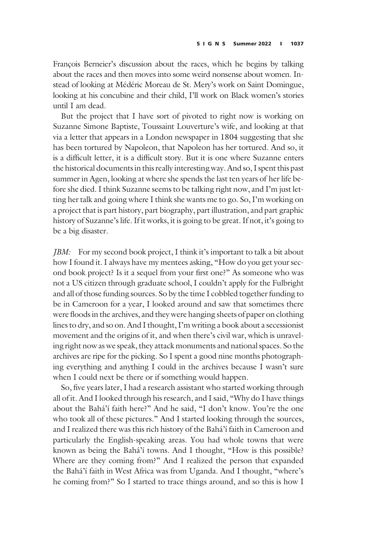François Berneier's discussion about the races, which he begins by talking about the races and then moves into some weird nonsense about women. Instead of looking at Médéric Moreau de St. Mery's work on Saint Domingue, looking at his concubine and their child, I'll work on Black women's stories until I am dead.

But the project that I have sort of pivoted to right now is working on Suzanne Simone Baptiste, Toussaint Louverture's wife, and looking at that via a letter that appears in a London newspaper in 1804 suggesting that she has been tortured by Napoleon, that Napoleon has her tortured. And so, it is a difficult letter, it is a difficult story. But it is one where Suzanne enters the historical documents in this really interesting way. And so, I spent this past summer in Agen, looking at where she spends the last ten years of her life before she died. I think Suzanne seems to be talking right now, and I'm just letting her talk and going where I think she wants me to go. So, I'm working on a project that is part history, part biography, part illustration, and part graphic history of Suzanne's life. If it works, it is going to be great. If not, it's going to be a big disaster.

JBM: For my second book project, I think it's important to talk a bit about how I found it. I always have my mentees asking, "How do you get your second book project? Is it a sequel from your first one?" As someone who was not a US citizen through graduate school, I couldn't apply for the Fulbright and all of those funding sources. So by the time I cobbled together funding to be in Cameroon for a year, I looked around and saw that sometimes there were floods in the archives, and they were hanging sheets of paper on clothing lines to dry, and so on. And I thought, I'm writing a book about a secessionist movement and the origins of it, and when there's civil war, which is unraveling right now as we speak, they attack monuments and national spaces. So the archives are ripe for the picking. So I spent a good nine months photographing everything and anything I could in the archives because I wasn't sure when I could next be there or if something would happen.

So, five years later, I had a research assistant who started working through all of it. And I looked through his research, and I said, "Why do I have things about the Bahá'í faith here?" And he said, "I don't know. You're the one who took all of these pictures." And I started looking through the sources, and I realized there was this rich history of the Bahá'í faith in Cameroon and particularly the English-speaking areas. You had whole towns that were known as being the Bahá'í towns. And I thought, "How is this possible? Where are they coming from?" And I realized the person that expanded the Bahá'í faith in West Africa was from Uganda. And I thought, "where's he coming from?" So I started to trace things around, and so this is how I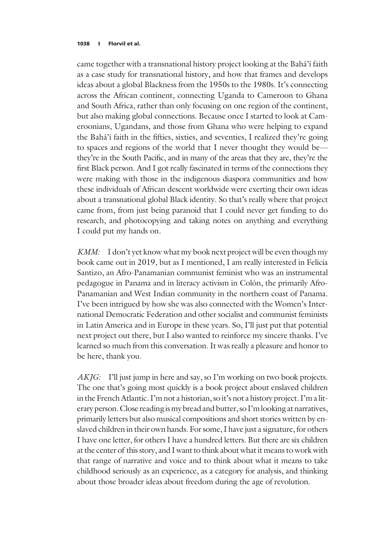came together with a transnational history project looking at the Bahá'í faith as a case study for transnational history, and how that frames and develops ideas about a global Blackness from the 1950s to the 1980s. It's connecting across the African continent, connecting Uganda to Cameroon to Ghana and South Africa, rather than only focusing on one region of the continent, but also making global connections. Because once I started to look at Cameroonians, Ugandans, and those from Ghana who were helping to expand the Bahá'í faith in the fifties, sixties, and seventies, I realized they're going to spaces and regions of the world that I never thought they would be they're in the South Pacific, and in many of the areas that they are, they're the first Black person. And I got really fascinated in terms of the connections they were making with those in the indigenous diaspora communities and how these individuals of African descent worldwide were exerting their own ideas about a transnational global Black identity. So that's really where that project came from, from just being paranoid that I could never get funding to do research, and photocopying and taking notes on anything and everything I could put my hands on.

KMM: I don't yet know what my book next project will be even though my book came out in 2019, but as I mentioned, I am really interested in Felicia Santizo, an Afro-Panamanian communist feminist who was an instrumental pedagogue in Panama and in literacy activism in Colón, the primarily Afro-Panamanian and West Indian community in the northern coast of Panama. I've been intrigued by how she was also connected with the Women's International Democratic Federation and other socialist and communist feminists in Latin America and in Europe in these years. So, I'll just put that potential next project out there, but I also wanted to reinforce my sincere thanks. I've learned so much from this conversation. It was really a pleasure and honor to be here, thank you.

AKJG: I'll just jump in here and say, so I'm working on two book projects. The one that's going most quickly is a book project about enslaved children in the French Atlantic. I'm not a historian, so it's not a history project. I'm a literary person. Close reading is my bread and butter, so I'm looking at narratives, primarily letters but also musical compositions and short stories written by enslaved children in their own hands. For some, I have just a signature, for others I have one letter, for others I have a hundred letters. But there are six children at the center of this story, and I want to think about what it means to work with that range of narrative and voice and to think about what it means to take childhood seriously as an experience, as a category for analysis, and thinking about those broader ideas about freedom during the age of revolution.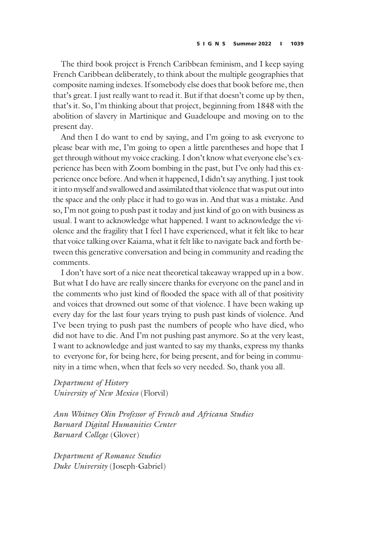The third book project is French Caribbean feminism, and I keep saying French Caribbean deliberately, to think about the multiple geographies that composite naming indexes. If somebody else does that book before me, then that's great. I just really want to read it. But if that doesn't come up by then, that's it. So, I'm thinking about that project, beginning from 1848 with the abolition of slavery in Martinique and Guadeloupe and moving on to the present day.

And then I do want to end by saying, and I'm going to ask everyone to please bear with me, I'm going to open a little parentheses and hope that I get through without my voice cracking. I don't know what everyone else's experience has been with Zoom bombing in the past, but I've only had this experience once before. And when it happened, I didn't say anything. I just took it into myself and swallowed and assimilated that violence that was put out into the space and the only place it had to go was in. And that was a mistake. And so, I'm not going to push past it today and just kind of go on with business as usual. I want to acknowledge what happened. I want to acknowledge the violence and the fragility that I feel I have experienced, what it felt like to hear that voice talking over Kaiama, what it felt like to navigate back and forth between this generative conversation and being in community and reading the comments.

I don't have sort of a nice neat theoretical takeaway wrapped up in a bow. But what I do have are really sincere thanks for everyone on the panel and in the comments who just kind of flooded the space with all of that positivity and voices that drowned out some of that violence. I have been waking up every day for the last four years trying to push past kinds of violence. And I've been trying to push past the numbers of people who have died, who did not have to die. And I'm not pushing past anymore. So at the very least, I want to acknowledge and just wanted to say my thanks, express my thanks to everyone for, for being here, for being present, and for being in community in a time when, when that feels so very needed. So, thank you all.

Department of History University of New Mexico (Florvil)

Ann Whitney Olin Professor of French and Africana Studies Barnard Digital Humanities Center Barnard College (Glover)

Department of Romance Studies Duke University (Joseph-Gabriel)